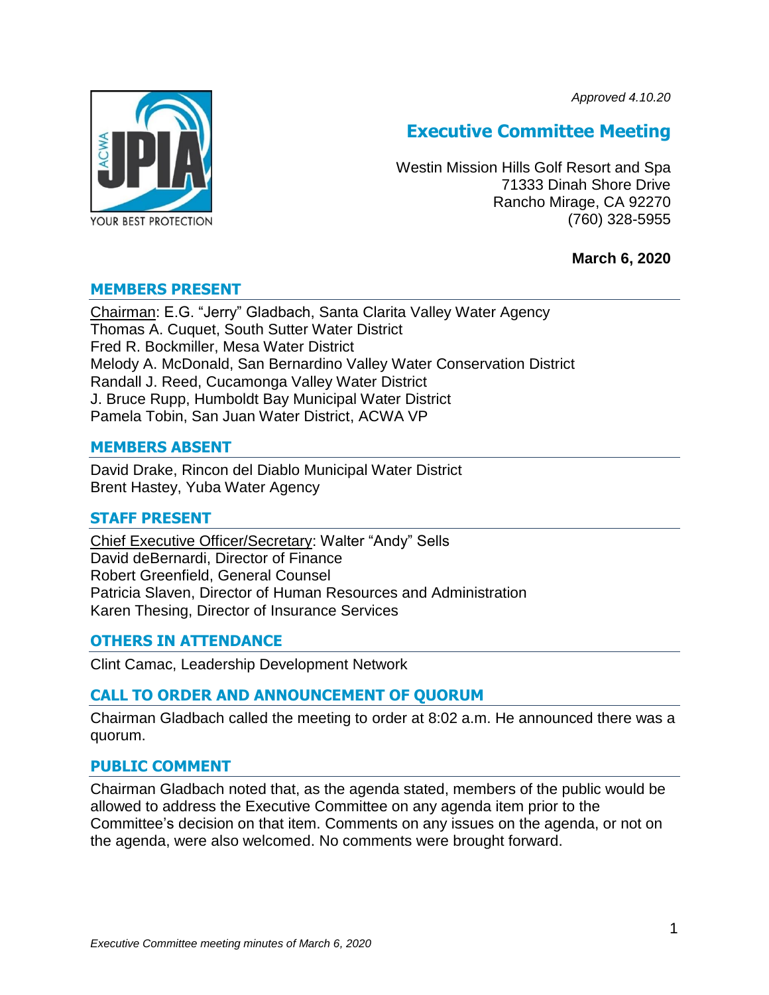*Approved 4.10.20*



# **Executive Committee Meeting**

Westin Mission Hills Golf Resort and Spa 71333 Dinah Shore Drive Rancho Mirage, CA 92270 (760) 328-5955

## **March 6, 2020**

### **MEMBERS PRESENT**

Chairman: E.G. "Jerry" Gladbach, Santa Clarita Valley Water Agency Thomas A. Cuquet, South Sutter Water District Fred R. Bockmiller, Mesa Water District Melody A. McDonald, San Bernardino Valley Water Conservation District Randall J. Reed, Cucamonga Valley Water District J. Bruce Rupp, Humboldt Bay Municipal Water District Pamela Tobin, San Juan Water District, ACWA VP

### **MEMBERS ABSENT**

David Drake, Rincon del Diablo Municipal Water District Brent Hastey, Yuba Water Agency

#### **STAFF PRESENT**

Chief Executive Officer/Secretary: Walter "Andy" Sells David deBernardi, Director of Finance Robert Greenfield, General Counsel Patricia Slaven, Director of Human Resources and Administration Karen Thesing, Director of Insurance Services

## **OTHERS IN ATTENDANCE**

Clint Camac, Leadership Development Network

## **CALL TO ORDER AND ANNOUNCEMENT OF QUORUM**

Chairman Gladbach called the meeting to order at 8:02 a.m. He announced there was a quorum.

#### **PUBLIC COMMENT**

Chairman Gladbach noted that, as the agenda stated, members of the public would be allowed to address the Executive Committee on any agenda item prior to the Committee's decision on that item. Comments on any issues on the agenda, or not on the agenda, were also welcomed. No comments were brought forward.